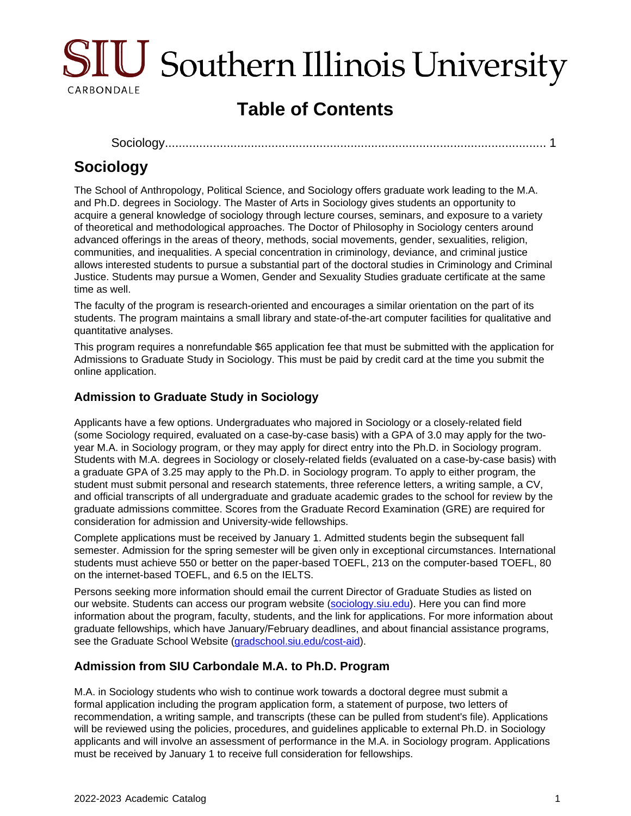

# **Table of Contents**

[Sociology............................................................................................................](#page-0-0)... 1

## <span id="page-0-0"></span>**Sociology**

The School of Anthropology, Political Science, and Sociology offers graduate work leading to the M.A. and Ph.D. degrees in Sociology. The Master of Arts in Sociology gives students an opportunity to acquire a general knowledge of sociology through lecture courses, seminars, and exposure to a variety of theoretical and methodological approaches. The Doctor of Philosophy in Sociology centers around advanced offerings in the areas of theory, methods, social movements, gender, sexualities, religion, communities, and inequalities. A special concentration in criminology, deviance, and criminal justice allows interested students to pursue a substantial part of the doctoral studies in Criminology and Criminal Justice. Students may pursue a Women, Gender and Sexuality Studies graduate certificate at the same time as well.

The faculty of the program is research-oriented and encourages a similar orientation on the part of its students. The program maintains a small library and state-of-the-art computer facilities for qualitative and quantitative analyses.

This program requires a nonrefundable \$65 application fee that must be submitted with the application for Admissions to Graduate Study in Sociology. This must be paid by credit card at the time you submit the online application.

## **Admission to Graduate Study in Sociology**

Applicants have a few options. Undergraduates who majored in Sociology or a closely-related field (some Sociology required, evaluated on a case-by-case basis) with a GPA of 3.0 may apply for the twoyear M.A. in Sociology program, or they may apply for direct entry into the Ph.D. in Sociology program. Students with M.A. degrees in Sociology or closely-related fields (evaluated on a case-by-case basis) with a graduate GPA of 3.25 may apply to the Ph.D. in Sociology program. To apply to either program, the student must submit personal and research statements, three reference letters, a writing sample, a CV, and official transcripts of all undergraduate and graduate academic grades to the school for review by the graduate admissions committee. Scores from the Graduate Record Examination (GRE) are required for consideration for admission and University-wide fellowships.

Complete applications must be received by January 1. Admitted students begin the subsequent fall semester. Admission for the spring semester will be given only in exceptional circumstances. International students must achieve 550 or better on the paper-based TOEFL, 213 on the computer-based TOEFL, 80 on the internet-based TOEFL, and 6.5 on the IELTS.

Persons seeking more information should email the current Director of Graduate Studies as listed on our website. Students can access our program website ([sociology.siu.edu\)](https://cola.siu.edu/sociology/). Here you can find more information about the program, faculty, students, and the link for applications. For more information about graduate fellowships, which have January/February deadlines, and about financial assistance programs, see the Graduate School Website ([gradschool.siu.edu/cost-aid](https://gradschool.siu.edu/cost-aid/)).

## **Admission from SIU Carbondale M.A. to Ph.D. Program**

M.A. in Sociology students who wish to continue work towards a doctoral degree must submit a formal application including the program application form, a statement of purpose, two letters of recommendation, a writing sample, and transcripts (these can be pulled from student's file). Applications will be reviewed using the policies, procedures, and guidelines applicable to external Ph.D. in Sociology applicants and will involve an assessment of performance in the M.A. in Sociology program. Applications must be received by January 1 to receive full consideration for fellowships.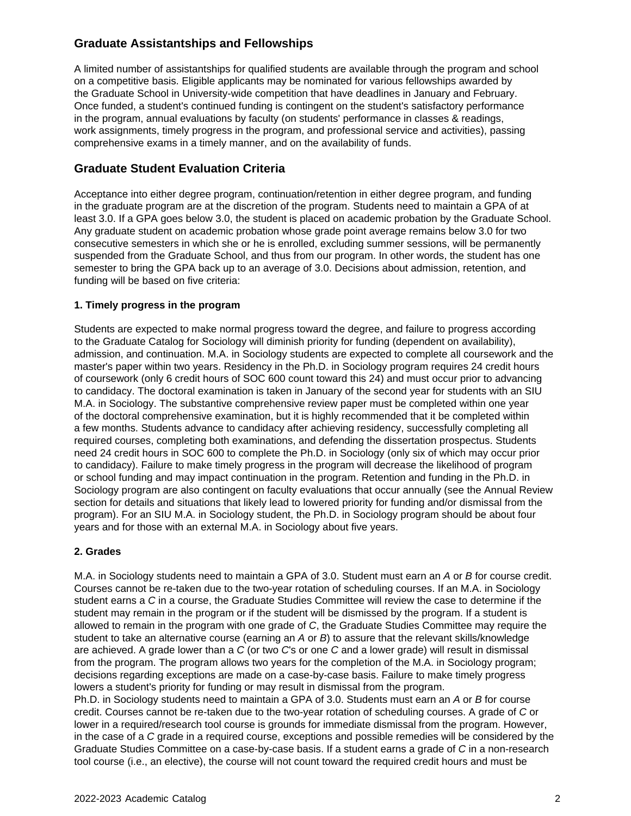## **Graduate Assistantships and Fellowships**

A limited number of assistantships for qualified students are available through the program and school on a competitive basis. Eligible applicants may be nominated for various fellowships awarded by the Graduate School in University-wide competition that have deadlines in January and February. Once funded, a student's continued funding is contingent on the student's satisfactory performance in the program, annual evaluations by faculty (on students' performance in classes & readings, work assignments, timely progress in the program, and professional service and activities), passing comprehensive exams in a timely manner, and on the availability of funds.

## **Graduate Student Evaluation Criteria**

Acceptance into either degree program, continuation/retention in either degree program, and funding in the graduate program are at the discretion of the program. Students need to maintain a GPA of at least 3.0. If a GPA goes below 3.0, the student is placed on academic probation by the Graduate School. Any graduate student on academic probation whose grade point average remains below 3.0 for two consecutive semesters in which she or he is enrolled, excluding summer sessions, will be permanently suspended from the Graduate School, and thus from our program. In other words, the student has one semester to bring the GPA back up to an average of 3.0. Decisions about admission, retention, and funding will be based on five criteria:

#### **1. Timely progress in the program**

Students are expected to make normal progress toward the degree, and failure to progress according to the Graduate Catalog for Sociology will diminish priority for funding (dependent on availability), admission, and continuation. M.A. in Sociology students are expected to complete all coursework and the master's paper within two years. Residency in the Ph.D. in Sociology program requires 24 credit hours of coursework (only 6 credit hours of SOC 600 count toward this 24) and must occur prior to advancing to candidacy. The doctoral examination is taken in January of the second year for students with an SIU M.A. in Sociology. The substantive comprehensive review paper must be completed within one year of the doctoral comprehensive examination, but it is highly recommended that it be completed within a few months. Students advance to candidacy after achieving residency, successfully completing all required courses, completing both examinations, and defending the dissertation prospectus. Students need 24 credit hours in SOC 600 to complete the Ph.D. in Sociology (only six of which may occur prior to candidacy). Failure to make timely progress in the program will decrease the likelihood of program or school funding and may impact continuation in the program. Retention and funding in the Ph.D. in Sociology program are also contingent on faculty evaluations that occur annually (see the Annual Review section for details and situations that likely lead to lowered priority for funding and/or dismissal from the program). For an SIU M.A. in Sociology student, the Ph.D. in Sociology program should be about four years and for those with an external M.A. in Sociology about five years.

#### **2. Grades**

M.A. in Sociology students need to maintain a GPA of 3.0. Student must earn an A or B for course credit. Courses cannot be re-taken due to the two-year rotation of scheduling courses. If an M.A. in Sociology student earns a C in a course, the Graduate Studies Committee will review the case to determine if the student may remain in the program or if the student will be dismissed by the program. If a student is allowed to remain in the program with one grade of C, the Graduate Studies Committee may require the student to take an alternative course (earning an A or B) to assure that the relevant skills/knowledge are achieved. A grade lower than a C (or two C's or one C and a lower grade) will result in dismissal from the program. The program allows two years for the completion of the M.A. in Sociology program; decisions regarding exceptions are made on a case-by-case basis. Failure to make timely progress lowers a student's priority for funding or may result in dismissal from the program.

Ph.D. in Sociology students need to maintain a GPA of 3.0. Students must earn an A or B for course credit. Courses cannot be re-taken due to the two-year rotation of scheduling courses. A grade of C or lower in a required/research tool course is grounds for immediate dismissal from the program. However, in the case of a C grade in a required course, exceptions and possible remedies will be considered by the Graduate Studies Committee on a case-by-case basis. If a student earns a grade of C in a non-research tool course (i.e., an elective), the course will not count toward the required credit hours and must be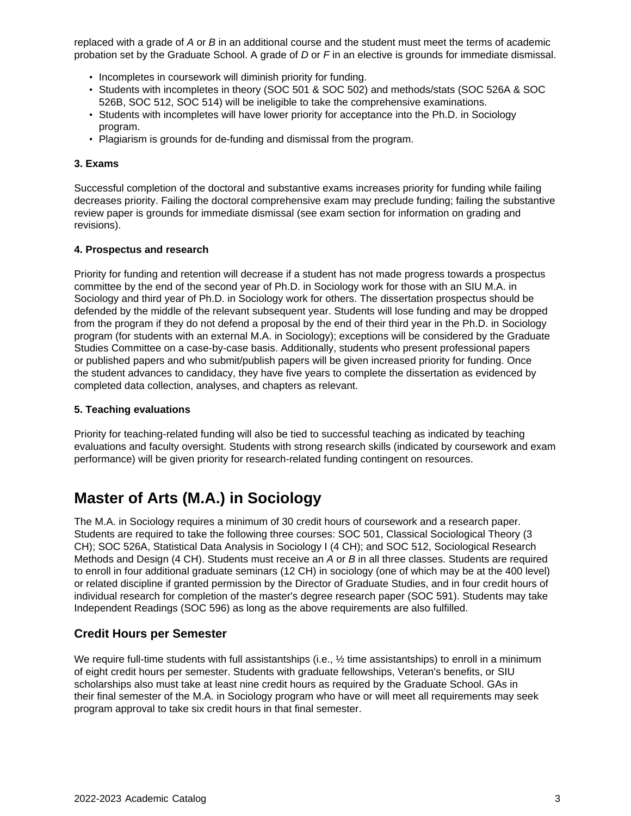replaced with a grade of  $A$  or  $B$  in an additional course and the student must meet the terms of academic probation set by the Graduate School. A grade of D or F in an elective is grounds for immediate dismissal.

- Incompletes in coursework will diminish priority for funding.
- Students with incompletes in theory (SOC 501 & SOC 502) and methods/stats (SOC 526A & SOC 526B, SOC 512, SOC 514) will be ineligible to take the comprehensive examinations.
- Students with incompletes will have lower priority for acceptance into the Ph.D. in Sociology program.
- Plagiarism is grounds for de-funding and dismissal from the program.

#### **3. Exams**

Successful completion of the doctoral and substantive exams increases priority for funding while failing decreases priority. Failing the doctoral comprehensive exam may preclude funding; failing the substantive review paper is grounds for immediate dismissal (see exam section for information on grading and revisions).

#### **4. Prospectus and research**

Priority for funding and retention will decrease if a student has not made progress towards a prospectus committee by the end of the second year of Ph.D. in Sociology work for those with an SIU M.A. in Sociology and third year of Ph.D. in Sociology work for others. The dissertation prospectus should be defended by the middle of the relevant subsequent year. Students will lose funding and may be dropped from the program if they do not defend a proposal by the end of their third year in the Ph.D. in Sociology program (for students with an external M.A. in Sociology); exceptions will be considered by the Graduate Studies Committee on a case-by-case basis. Additionally, students who present professional papers or published papers and who submit/publish papers will be given increased priority for funding. Once the student advances to candidacy, they have five years to complete the dissertation as evidenced by completed data collection, analyses, and chapters as relevant.

#### **5. Teaching evaluations**

Priority for teaching-related funding will also be tied to successful teaching as indicated by teaching evaluations and faculty oversight. Students with strong research skills (indicated by coursework and exam performance) will be given priority for research-related funding contingent on resources.

## **Master of Arts (M.A.) in Sociology**

The M.A. in Sociology requires a minimum of 30 credit hours of coursework and a research paper. Students are required to take the following three courses: SOC 501, Classical Sociological Theory (3 CH); SOC 526A, Statistical Data Analysis in Sociology I (4 CH); and SOC 512, Sociological Research Methods and Design (4 CH). Students must receive an A or B in all three classes. Students are required to enroll in four additional graduate seminars (12 CH) in sociology (one of which may be at the 400 level) or related discipline if granted permission by the Director of Graduate Studies, and in four credit hours of individual research for completion of the master's degree research paper (SOC 591). Students may take Independent Readings (SOC 596) as long as the above requirements are also fulfilled.

#### **Credit Hours per Semester**

We require full-time students with full assistantships (i.e.,  $\frac{1}{2}$  time assistantships) to enroll in a minimum of eight credit hours per semester. Students with graduate fellowships, Veteran's benefits, or SIU scholarships also must take at least nine credit hours as required by the Graduate School. GAs in their final semester of the M.A. in Sociology program who have or will meet all requirements may seek program approval to take six credit hours in that final semester.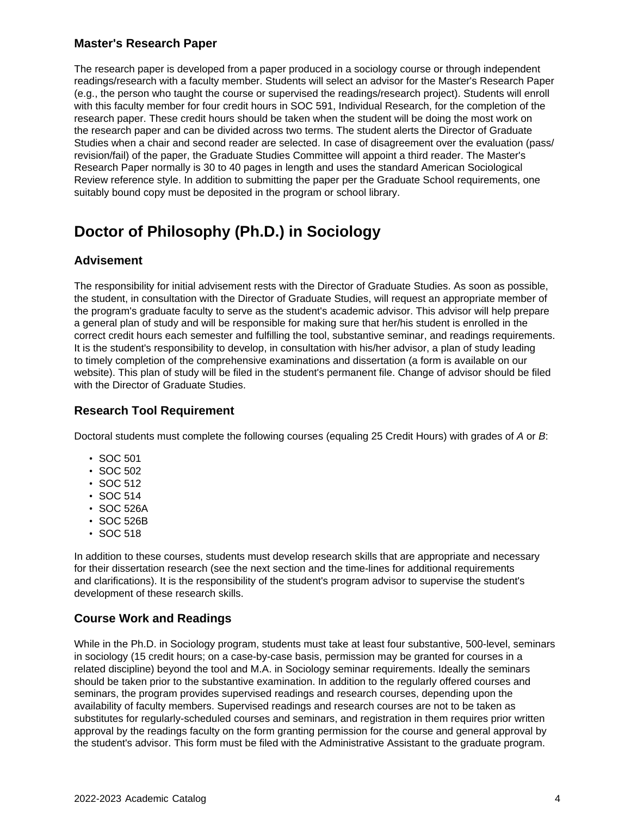### **Master's Research Paper**

The research paper is developed from a paper produced in a sociology course or through independent readings/research with a faculty member. Students will select an advisor for the Master's Research Paper (e.g., the person who taught the course or supervised the readings/research project). Students will enroll with this faculty member for four credit hours in SOC 591, Individual Research, for the completion of the research paper. These credit hours should be taken when the student will be doing the most work on the research paper and can be divided across two terms. The student alerts the Director of Graduate Studies when a chair and second reader are selected. In case of disagreement over the evaluation (pass/ revision/fail) of the paper, the Graduate Studies Committee will appoint a third reader. The Master's Research Paper normally is 30 to 40 pages in length and uses the standard American Sociological Review reference style. In addition to submitting the paper per the Graduate School requirements, one suitably bound copy must be deposited in the program or school library.

## **Doctor of Philosophy (Ph.D.) in Sociology**

### **Advisement**

The responsibility for initial advisement rests with the Director of Graduate Studies. As soon as possible, the student, in consultation with the Director of Graduate Studies, will request an appropriate member of the program's graduate faculty to serve as the student's academic advisor. This advisor will help prepare a general plan of study and will be responsible for making sure that her/his student is enrolled in the correct credit hours each semester and fulfilling the tool, substantive seminar, and readings requirements. It is the student's responsibility to develop, in consultation with his/her advisor, a plan of study leading to timely completion of the comprehensive examinations and dissertation (a form is available on our website). This plan of study will be filed in the student's permanent file. Change of advisor should be filed with the Director of Graduate Studies.

### **Research Tool Requirement**

Doctoral students must complete the following courses (equaling 25 Credit Hours) with grades of A or B:

- SOC 501
- SOC 502
- SOC 512
- SOC 514
- SOC 526A
- SOC 526B
- SOC 518

In addition to these courses, students must develop research skills that are appropriate and necessary for their dissertation research (see the next section and the time-lines for additional requirements and clarifications). It is the responsibility of the student's program advisor to supervise the student's development of these research skills.

## **Course Work and Readings**

While in the Ph.D. in Sociology program, students must take at least four substantive, 500-level, seminars in sociology (15 credit hours; on a case-by-case basis, permission may be granted for courses in a related discipline) beyond the tool and M.A. in Sociology seminar requirements. Ideally the seminars should be taken prior to the substantive examination. In addition to the regularly offered courses and seminars, the program provides supervised readings and research courses, depending upon the availability of faculty members. Supervised readings and research courses are not to be taken as substitutes for regularly-scheduled courses and seminars, and registration in them requires prior written approval by the readings faculty on the form granting permission for the course and general approval by the student's advisor. This form must be filed with the Administrative Assistant to the graduate program.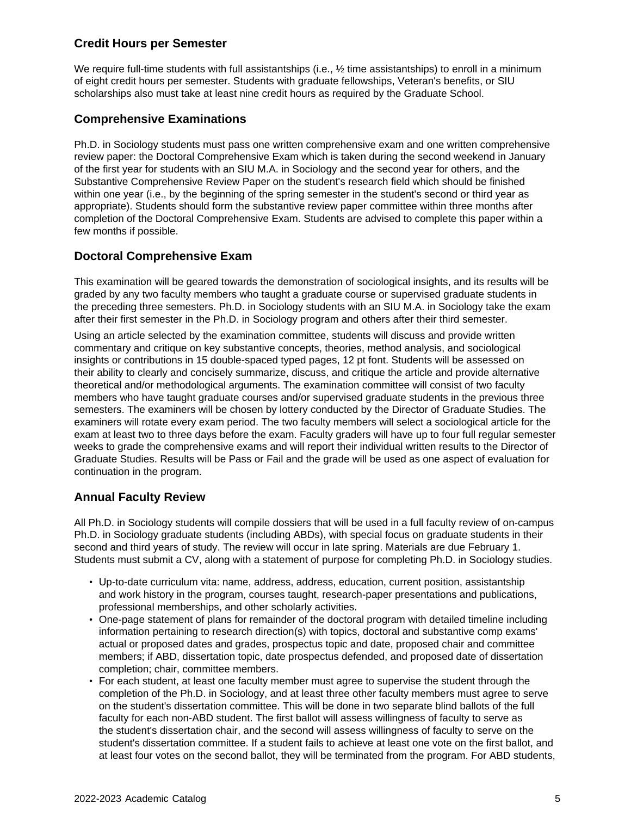## **Credit Hours per Semester**

We require full-time students with full assistantships (i.e.,  $\frac{1}{2}$  time assistantships) to enroll in a minimum of eight credit hours per semester. Students with graduate fellowships, Veteran's benefits, or SIU scholarships also must take at least nine credit hours as required by the Graduate School.

## **Comprehensive Examinations**

Ph.D. in Sociology students must pass one written comprehensive exam and one written comprehensive review paper: the Doctoral Comprehensive Exam which is taken during the second weekend in January of the first year for students with an SIU M.A. in Sociology and the second year for others, and the Substantive Comprehensive Review Paper on the student's research field which should be finished within one year (i.e., by the beginning of the spring semester in the student's second or third year as appropriate). Students should form the substantive review paper committee within three months after completion of the Doctoral Comprehensive Exam. Students are advised to complete this paper within a few months if possible.

#### **Doctoral Comprehensive Exam**

This examination will be geared towards the demonstration of sociological insights, and its results will be graded by any two faculty members who taught a graduate course or supervised graduate students in the preceding three semesters. Ph.D. in Sociology students with an SIU M.A. in Sociology take the exam after their first semester in the Ph.D. in Sociology program and others after their third semester.

Using an article selected by the examination committee, students will discuss and provide written commentary and critique on key substantive concepts, theories, method analysis, and sociological insights or contributions in 15 double-spaced typed pages, 12 pt font. Students will be assessed on their ability to clearly and concisely summarize, discuss, and critique the article and provide alternative theoretical and/or methodological arguments. The examination committee will consist of two faculty members who have taught graduate courses and/or supervised graduate students in the previous three semesters. The examiners will be chosen by lottery conducted by the Director of Graduate Studies. The examiners will rotate every exam period. The two faculty members will select a sociological article for the exam at least two to three days before the exam. Faculty graders will have up to four full regular semester weeks to grade the comprehensive exams and will report their individual written results to the Director of Graduate Studies. Results will be Pass or Fail and the grade will be used as one aspect of evaluation for continuation in the program.

#### **Annual Faculty Review**

All Ph.D. in Sociology students will compile dossiers that will be used in a full faculty review of on-campus Ph.D. in Sociology graduate students (including ABDs), with special focus on graduate students in their second and third years of study. The review will occur in late spring. Materials are due February 1. Students must submit a CV, along with a statement of purpose for completing Ph.D. in Sociology studies.

- Up-to-date curriculum vita: name, address, address, education, current position, assistantship and work history in the program, courses taught, research-paper presentations and publications, professional memberships, and other scholarly activities.
- One-page statement of plans for remainder of the doctoral program with detailed timeline including information pertaining to research direction(s) with topics, doctoral and substantive comp exams' actual or proposed dates and grades, prospectus topic and date, proposed chair and committee members; if ABD, dissertation topic, date prospectus defended, and proposed date of dissertation completion; chair, committee members.
- For each student, at least one faculty member must agree to supervise the student through the completion of the Ph.D. in Sociology, and at least three other faculty members must agree to serve on the student's dissertation committee. This will be done in two separate blind ballots of the full faculty for each non-ABD student. The first ballot will assess willingness of faculty to serve as the student's dissertation chair, and the second will assess willingness of faculty to serve on the student's dissertation committee. If a student fails to achieve at least one vote on the first ballot, and at least four votes on the second ballot, they will be terminated from the program. For ABD students,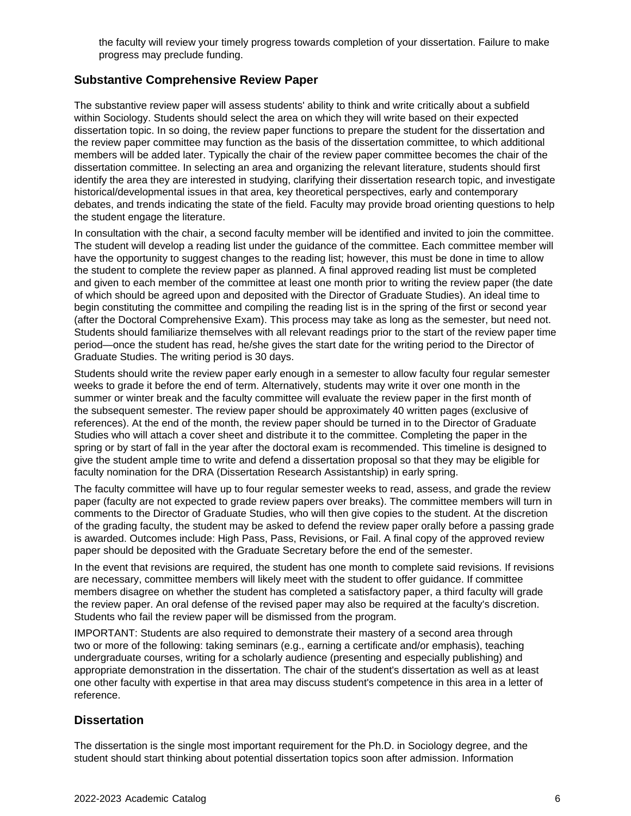the faculty will review your timely progress towards completion of your dissertation. Failure to make progress may preclude funding.

### **Substantive Comprehensive Review Paper**

The substantive review paper will assess students' ability to think and write critically about a subfield within Sociology. Students should select the area on which they will write based on their expected dissertation topic. In so doing, the review paper functions to prepare the student for the dissertation and the review paper committee may function as the basis of the dissertation committee, to which additional members will be added later. Typically the chair of the review paper committee becomes the chair of the dissertation committee. In selecting an area and organizing the relevant literature, students should first identify the area they are interested in studying, clarifying their dissertation research topic, and investigate historical/developmental issues in that area, key theoretical perspectives, early and contemporary debates, and trends indicating the state of the field. Faculty may provide broad orienting questions to help the student engage the literature.

In consultation with the chair, a second faculty member will be identified and invited to join the committee. The student will develop a reading list under the guidance of the committee. Each committee member will have the opportunity to suggest changes to the reading list; however, this must be done in time to allow the student to complete the review paper as planned. A final approved reading list must be completed and given to each member of the committee at least one month prior to writing the review paper (the date of which should be agreed upon and deposited with the Director of Graduate Studies). An ideal time to begin constituting the committee and compiling the reading list is in the spring of the first or second year (after the Doctoral Comprehensive Exam). This process may take as long as the semester, but need not. Students should familiarize themselves with all relevant readings prior to the start of the review paper time period—once the student has read, he/she gives the start date for the writing period to the Director of Graduate Studies. The writing period is 30 days.

Students should write the review paper early enough in a semester to allow faculty four regular semester weeks to grade it before the end of term. Alternatively, students may write it over one month in the summer or winter break and the faculty committee will evaluate the review paper in the first month of the subsequent semester. The review paper should be approximately 40 written pages (exclusive of references). At the end of the month, the review paper should be turned in to the Director of Graduate Studies who will attach a cover sheet and distribute it to the committee. Completing the paper in the spring or by start of fall in the year after the doctoral exam is recommended. This timeline is designed to give the student ample time to write and defend a dissertation proposal so that they may be eligible for faculty nomination for the DRA (Dissertation Research Assistantship) in early spring.

The faculty committee will have up to four regular semester weeks to read, assess, and grade the review paper (faculty are not expected to grade review papers over breaks). The committee members will turn in comments to the Director of Graduate Studies, who will then give copies to the student. At the discretion of the grading faculty, the student may be asked to defend the review paper orally before a passing grade is awarded. Outcomes include: High Pass, Pass, Revisions, or Fail. A final copy of the approved review paper should be deposited with the Graduate Secretary before the end of the semester.

In the event that revisions are required, the student has one month to complete said revisions. If revisions are necessary, committee members will likely meet with the student to offer guidance. If committee members disagree on whether the student has completed a satisfactory paper, a third faculty will grade the review paper. An oral defense of the revised paper may also be required at the faculty's discretion. Students who fail the review paper will be dismissed from the program.

IMPORTANT: Students are also required to demonstrate their mastery of a second area through two or more of the following: taking seminars (e.g., earning a certificate and/or emphasis), teaching undergraduate courses, writing for a scholarly audience (presenting and especially publishing) and appropriate demonstration in the dissertation. The chair of the student's dissertation as well as at least one other faculty with expertise in that area may discuss student's competence in this area in a letter of reference.

#### **Dissertation**

The dissertation is the single most important requirement for the Ph.D. in Sociology degree, and the student should start thinking about potential dissertation topics soon after admission. Information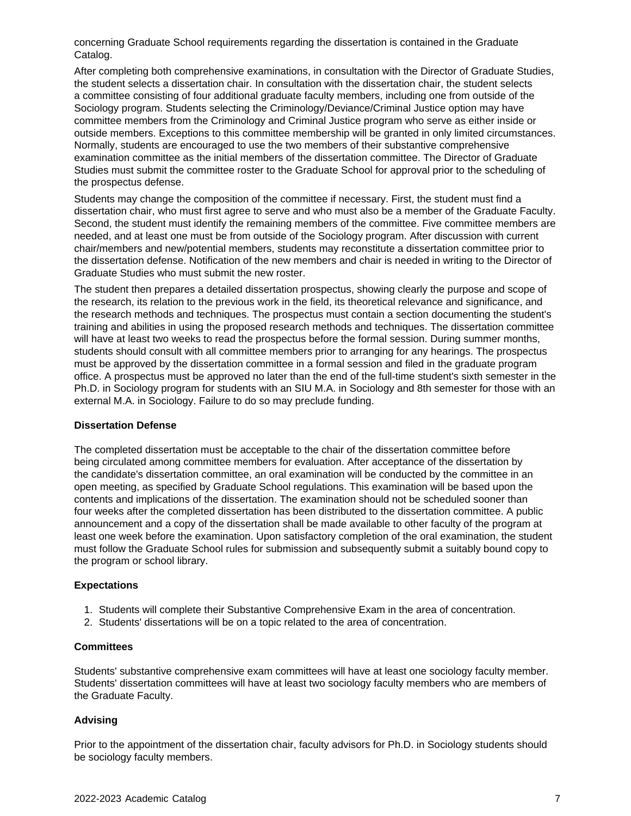concerning Graduate School requirements regarding the dissertation is contained in the Graduate Catalog.

After completing both comprehensive examinations, in consultation with the Director of Graduate Studies, the student selects a dissertation chair. In consultation with the dissertation chair, the student selects a committee consisting of four additional graduate faculty members, including one from outside of the Sociology program. Students selecting the Criminology/Deviance/Criminal Justice option may have committee members from the Criminology and Criminal Justice program who serve as either inside or outside members. Exceptions to this committee membership will be granted in only limited circumstances. Normally, students are encouraged to use the two members of their substantive comprehensive examination committee as the initial members of the dissertation committee. The Director of Graduate Studies must submit the committee roster to the Graduate School for approval prior to the scheduling of the prospectus defense.

Students may change the composition of the committee if necessary. First, the student must find a dissertation chair, who must first agree to serve and who must also be a member of the Graduate Faculty. Second, the student must identify the remaining members of the committee. Five committee members are needed, and at least one must be from outside of the Sociology program. After discussion with current chair/members and new/potential members, students may reconstitute a dissertation committee prior to the dissertation defense. Notification of the new members and chair is needed in writing to the Director of Graduate Studies who must submit the new roster.

The student then prepares a detailed dissertation prospectus, showing clearly the purpose and scope of the research, its relation to the previous work in the field, its theoretical relevance and significance, and the research methods and techniques. The prospectus must contain a section documenting the student's training and abilities in using the proposed research methods and techniques. The dissertation committee will have at least two weeks to read the prospectus before the formal session. During summer months, students should consult with all committee members prior to arranging for any hearings. The prospectus must be approved by the dissertation committee in a formal session and filed in the graduate program office. A prospectus must be approved no later than the end of the full-time student's sixth semester in the Ph.D. in Sociology program for students with an SIU M.A. in Sociology and 8th semester for those with an external M.A. in Sociology. Failure to do so may preclude funding.

#### **Dissertation Defense**

The completed dissertation must be acceptable to the chair of the dissertation committee before being circulated among committee members for evaluation. After acceptance of the dissertation by the candidate's dissertation committee, an oral examination will be conducted by the committee in an open meeting, as specified by Graduate School regulations. This examination will be based upon the contents and implications of the dissertation. The examination should not be scheduled sooner than four weeks after the completed dissertation has been distributed to the dissertation committee. A public announcement and a copy of the dissertation shall be made available to other faculty of the program at least one week before the examination. Upon satisfactory completion of the oral examination, the student must follow the Graduate School rules for submission and subsequently submit a suitably bound copy to the program or school library.

#### **Expectations**

- 1. Students will complete their Substantive Comprehensive Exam in the area of concentration.
- 2. Students' dissertations will be on a topic related to the area of concentration.

#### **Committees**

Students' substantive comprehensive exam committees will have at least one sociology faculty member. Students' dissertation committees will have at least two sociology faculty members who are members of the Graduate Faculty.

#### **Advising**

Prior to the appointment of the dissertation chair, faculty advisors for Ph.D. in Sociology students should be sociology faculty members.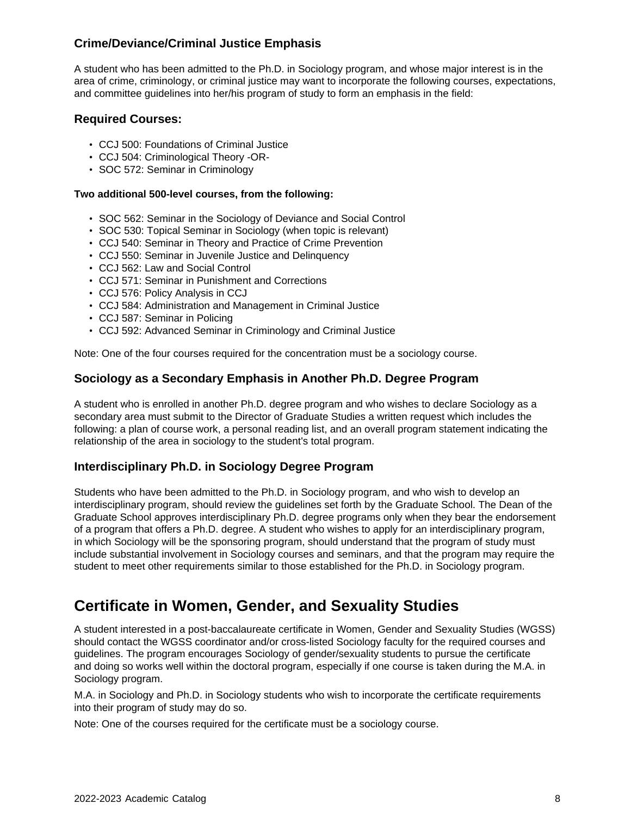## **Crime/Deviance/Criminal Justice Emphasis**

A student who has been admitted to the Ph.D. in Sociology program, and whose major interest is in the area of crime, criminology, or criminal justice may want to incorporate the following courses, expectations, and committee guidelines into her/his program of study to form an emphasis in the field:

#### **Required Courses:**

- CCJ 500: Foundations of Criminal Justice
- CCJ 504: Criminological Theory -OR-
- SOC 572: Seminar in Criminology

#### **Two additional 500-level courses, from the following:**

- SOC 562: Seminar in the Sociology of Deviance and Social Control
- SOC 530: Topical Seminar in Sociology (when topic is relevant)
- CCJ 540: Seminar in Theory and Practice of Crime Prevention
- CCJ 550: Seminar in Juvenile Justice and Delinquency
- CCJ 562: Law and Social Control
- CCJ 571: Seminar in Punishment and Corrections
- CCJ 576: Policy Analysis in CCJ
- CCJ 584: Administration and Management in Criminal Justice
- CCJ 587: Seminar in Policing
- CCJ 592: Advanced Seminar in Criminology and Criminal Justice

Note: One of the four courses required for the concentration must be a sociology course.

#### **Sociology as a Secondary Emphasis in Another Ph.D. Degree Program**

A student who is enrolled in another Ph.D. degree program and who wishes to declare Sociology as a secondary area must submit to the Director of Graduate Studies a written request which includes the following: a plan of course work, a personal reading list, and an overall program statement indicating the relationship of the area in sociology to the student's total program.

#### **Interdisciplinary Ph.D. in Sociology Degree Program**

Students who have been admitted to the Ph.D. in Sociology program, and who wish to develop an interdisciplinary program, should review the guidelines set forth by the Graduate School. The Dean of the Graduate School approves interdisciplinary Ph.D. degree programs only when they bear the endorsement of a program that offers a Ph.D. degree. A student who wishes to apply for an interdisciplinary program, in which Sociology will be the sponsoring program, should understand that the program of study must include substantial involvement in Sociology courses and seminars, and that the program may require the student to meet other requirements similar to those established for the Ph.D. in Sociology program.

## **Certificate in Women, Gender, and Sexuality Studies**

A student interested in a post-baccalaureate certificate in Women, Gender and Sexuality Studies (WGSS) should contact the WGSS coordinator and/or cross-listed Sociology faculty for the required courses and guidelines. The program encourages Sociology of gender/sexuality students to pursue the certificate and doing so works well within the doctoral program, especially if one course is taken during the M.A. in Sociology program.

M.A. in Sociology and Ph.D. in Sociology students who wish to incorporate the certificate requirements into their program of study may do so.

Note: One of the courses required for the certificate must be a sociology course.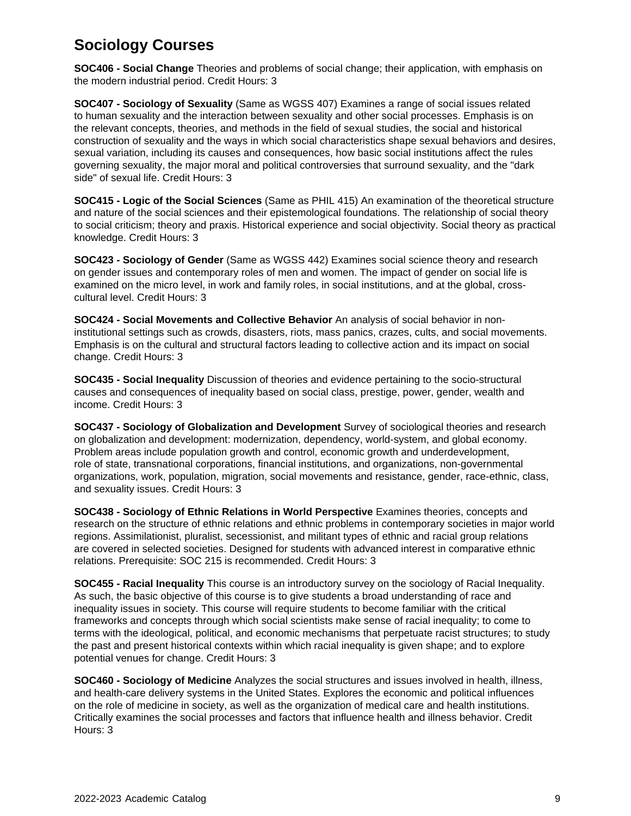## **Sociology Courses**

**SOC406 - Social Change** Theories and problems of social change; their application, with emphasis on the modern industrial period. Credit Hours: 3

**SOC407 - Sociology of Sexuality** (Same as WGSS 407) Examines a range of social issues related to human sexuality and the interaction between sexuality and other social processes. Emphasis is on the relevant concepts, theories, and methods in the field of sexual studies, the social and historical construction of sexuality and the ways in which social characteristics shape sexual behaviors and desires, sexual variation, including its causes and consequences, how basic social institutions affect the rules governing sexuality, the major moral and political controversies that surround sexuality, and the "dark side" of sexual life. Credit Hours: 3

**SOC415 - Logic of the Social Sciences** (Same as PHIL 415) An examination of the theoretical structure and nature of the social sciences and their epistemological foundations. The relationship of social theory to social criticism; theory and praxis. Historical experience and social objectivity. Social theory as practical knowledge. Credit Hours: 3

**SOC423 - Sociology of Gender** (Same as WGSS 442) Examines social science theory and research on gender issues and contemporary roles of men and women. The impact of gender on social life is examined on the micro level, in work and family roles, in social institutions, and at the global, crosscultural level. Credit Hours: 3

**SOC424 - Social Movements and Collective Behavior** An analysis of social behavior in noninstitutional settings such as crowds, disasters, riots, mass panics, crazes, cults, and social movements. Emphasis is on the cultural and structural factors leading to collective action and its impact on social change. Credit Hours: 3

**SOC435 - Social Inequality** Discussion of theories and evidence pertaining to the socio-structural causes and consequences of inequality based on social class, prestige, power, gender, wealth and income. Credit Hours: 3

**SOC437 - Sociology of Globalization and Development** Survey of sociological theories and research on globalization and development: modernization, dependency, world-system, and global economy. Problem areas include population growth and control, economic growth and underdevelopment, role of state, transnational corporations, financial institutions, and organizations, non-governmental organizations, work, population, migration, social movements and resistance, gender, race-ethnic, class, and sexuality issues. Credit Hours: 3

**SOC438 - Sociology of Ethnic Relations in World Perspective** Examines theories, concepts and research on the structure of ethnic relations and ethnic problems in contemporary societies in major world regions. Assimilationist, pluralist, secessionist, and militant types of ethnic and racial group relations are covered in selected societies. Designed for students with advanced interest in comparative ethnic relations. Prerequisite: SOC 215 is recommended. Credit Hours: 3

**SOC455 - Racial Inequality** This course is an introductory survey on the sociology of Racial Inequality. As such, the basic objective of this course is to give students a broad understanding of race and inequality issues in society. This course will require students to become familiar with the critical frameworks and concepts through which social scientists make sense of racial inequality; to come to terms with the ideological, political, and economic mechanisms that perpetuate racist structures; to study the past and present historical contexts within which racial inequality is given shape; and to explore potential venues for change. Credit Hours: 3

**SOC460 - Sociology of Medicine** Analyzes the social structures and issues involved in health, illness, and health-care delivery systems in the United States. Explores the economic and political influences on the role of medicine in society, as well as the organization of medical care and health institutions. Critically examines the social processes and factors that influence health and illness behavior. Credit Hours: 3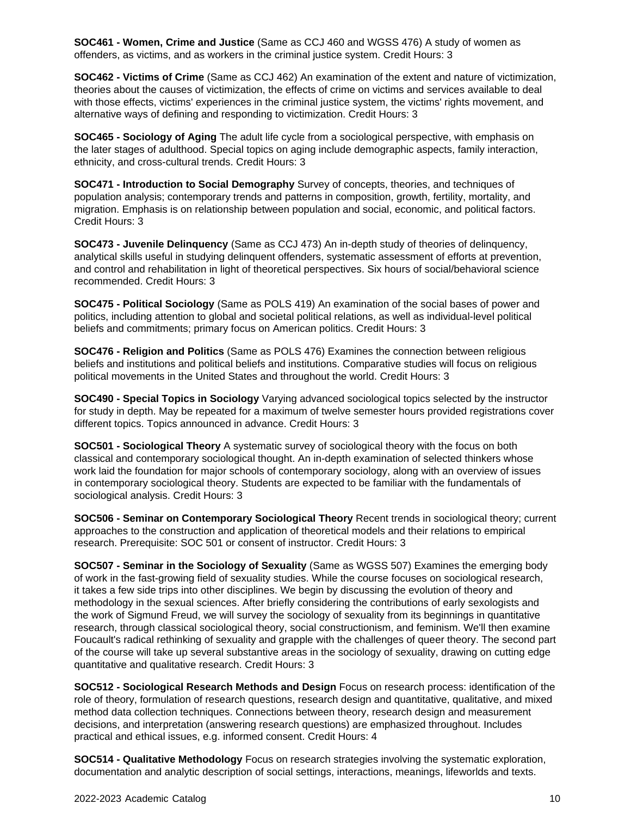**SOC461 - Women, Crime and Justice** (Same as CCJ 460 and WGSS 476) A study of women as offenders, as victims, and as workers in the criminal justice system. Credit Hours: 3

**SOC462 - Victims of Crime** (Same as CCJ 462) An examination of the extent and nature of victimization, theories about the causes of victimization, the effects of crime on victims and services available to deal with those effects, victims' experiences in the criminal justice system, the victims' rights movement, and alternative ways of defining and responding to victimization. Credit Hours: 3

**SOC465 - Sociology of Aging** The adult life cycle from a sociological perspective, with emphasis on the later stages of adulthood. Special topics on aging include demographic aspects, family interaction, ethnicity, and cross-cultural trends. Credit Hours: 3

**SOC471 - Introduction to Social Demography** Survey of concepts, theories, and techniques of population analysis; contemporary trends and patterns in composition, growth, fertility, mortality, and migration. Emphasis is on relationship between population and social, economic, and political factors. Credit Hours: 3

**SOC473 - Juvenile Delinquency** (Same as CCJ 473) An in-depth study of theories of delinquency, analytical skills useful in studying delinquent offenders, systematic assessment of efforts at prevention, and control and rehabilitation in light of theoretical perspectives. Six hours of social/behavioral science recommended. Credit Hours: 3

**SOC475 - Political Sociology** (Same as POLS 419) An examination of the social bases of power and politics, including attention to global and societal political relations, as well as individual-level political beliefs and commitments; primary focus on American politics. Credit Hours: 3

**SOC476 - Religion and Politics** (Same as POLS 476) Examines the connection between religious beliefs and institutions and political beliefs and institutions. Comparative studies will focus on religious political movements in the United States and throughout the world. Credit Hours: 3

**SOC490 - Special Topics in Sociology** Varying advanced sociological topics selected by the instructor for study in depth. May be repeated for a maximum of twelve semester hours provided registrations cover different topics. Topics announced in advance. Credit Hours: 3

**SOC501 - Sociological Theory** A systematic survey of sociological theory with the focus on both classical and contemporary sociological thought. An in-depth examination of selected thinkers whose work laid the foundation for major schools of contemporary sociology, along with an overview of issues in contemporary sociological theory. Students are expected to be familiar with the fundamentals of sociological analysis. Credit Hours: 3

**SOC506 - Seminar on Contemporary Sociological Theory** Recent trends in sociological theory; current approaches to the construction and application of theoretical models and their relations to empirical research. Prerequisite: SOC 501 or consent of instructor. Credit Hours: 3

**SOC507 - Seminar in the Sociology of Sexuality** (Same as WGSS 507) Examines the emerging body of work in the fast-growing field of sexuality studies. While the course focuses on sociological research, it takes a few side trips into other disciplines. We begin by discussing the evolution of theory and methodology in the sexual sciences. After briefly considering the contributions of early sexologists and the work of Sigmund Freud, we will survey the sociology of sexuality from its beginnings in quantitative research, through classical sociological theory, social constructionism, and feminism. We'll then examine Foucault's radical rethinking of sexuality and grapple with the challenges of queer theory. The second part of the course will take up several substantive areas in the sociology of sexuality, drawing on cutting edge quantitative and qualitative research. Credit Hours: 3

**SOC512 - Sociological Research Methods and Design** Focus on research process: identification of the role of theory, formulation of research questions, research design and quantitative, qualitative, and mixed method data collection techniques. Connections between theory, research design and measurement decisions, and interpretation (answering research questions) are emphasized throughout. Includes practical and ethical issues, e.g. informed consent. Credit Hours: 4

**SOC514 - Qualitative Methodology** Focus on research strategies involving the systematic exploration, documentation and analytic description of social settings, interactions, meanings, lifeworlds and texts.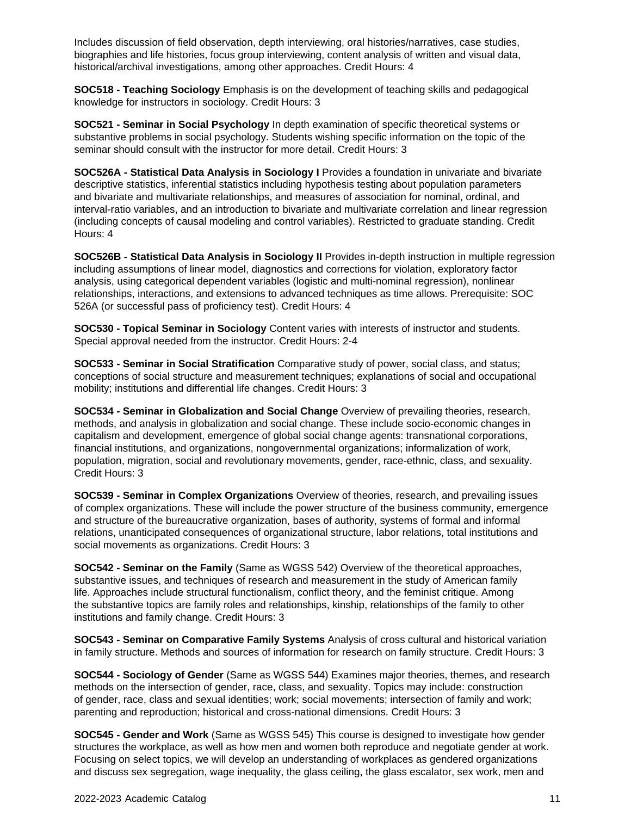Includes discussion of field observation, depth interviewing, oral histories/narratives, case studies, biographies and life histories, focus group interviewing, content analysis of written and visual data, historical/archival investigations, among other approaches. Credit Hours: 4

**SOC518 - Teaching Sociology** Emphasis is on the development of teaching skills and pedagogical knowledge for instructors in sociology. Credit Hours: 3

**SOC521 - Seminar in Social Psychology** In depth examination of specific theoretical systems or substantive problems in social psychology. Students wishing specific information on the topic of the seminar should consult with the instructor for more detail. Credit Hours: 3

**SOC526A - Statistical Data Analysis in Sociology I** Provides a foundation in univariate and bivariate descriptive statistics, inferential statistics including hypothesis testing about population parameters and bivariate and multivariate relationships, and measures of association for nominal, ordinal, and interval-ratio variables, and an introduction to bivariate and multivariate correlation and linear regression (including concepts of causal modeling and control variables). Restricted to graduate standing. Credit Hours: 4

**SOC526B - Statistical Data Analysis in Sociology II** Provides in-depth instruction in multiple regression including assumptions of linear model, diagnostics and corrections for violation, exploratory factor analysis, using categorical dependent variables (logistic and multi-nominal regression), nonlinear relationships, interactions, and extensions to advanced techniques as time allows. Prerequisite: SOC 526A (or successful pass of proficiency test). Credit Hours: 4

**SOC530 - Topical Seminar in Sociology** Content varies with interests of instructor and students. Special approval needed from the instructor. Credit Hours: 2-4

**SOC533 - Seminar in Social Stratification** Comparative study of power, social class, and status; conceptions of social structure and measurement techniques; explanations of social and occupational mobility; institutions and differential life changes. Credit Hours: 3

**SOC534 - Seminar in Globalization and Social Change** Overview of prevailing theories, research, methods, and analysis in globalization and social change. These include socio-economic changes in capitalism and development, emergence of global social change agents: transnational corporations, financial institutions, and organizations, nongovernmental organizations; informalization of work, population, migration, social and revolutionary movements, gender, race-ethnic, class, and sexuality. Credit Hours: 3

**SOC539 - Seminar in Complex Organizations** Overview of theories, research, and prevailing issues of complex organizations. These will include the power structure of the business community, emergence and structure of the bureaucrative organization, bases of authority, systems of formal and informal relations, unanticipated consequences of organizational structure, labor relations, total institutions and social movements as organizations. Credit Hours: 3

**SOC542 - Seminar on the Family** (Same as WGSS 542) Overview of the theoretical approaches, substantive issues, and techniques of research and measurement in the study of American family life. Approaches include structural functionalism, conflict theory, and the feminist critique. Among the substantive topics are family roles and relationships, kinship, relationships of the family to other institutions and family change. Credit Hours: 3

**SOC543 - Seminar on Comparative Family Systems** Analysis of cross cultural and historical variation in family structure. Methods and sources of information for research on family structure. Credit Hours: 3

**SOC544 - Sociology of Gender** (Same as WGSS 544) Examines major theories, themes, and research methods on the intersection of gender, race, class, and sexuality. Topics may include: construction of gender, race, class and sexual identities; work; social movements; intersection of family and work; parenting and reproduction; historical and cross-national dimensions. Credit Hours: 3

**SOC545 - Gender and Work** (Same as WGSS 545) This course is designed to investigate how gender structures the workplace, as well as how men and women both reproduce and negotiate gender at work. Focusing on select topics, we will develop an understanding of workplaces as gendered organizations and discuss sex segregation, wage inequality, the glass ceiling, the glass escalator, sex work, men and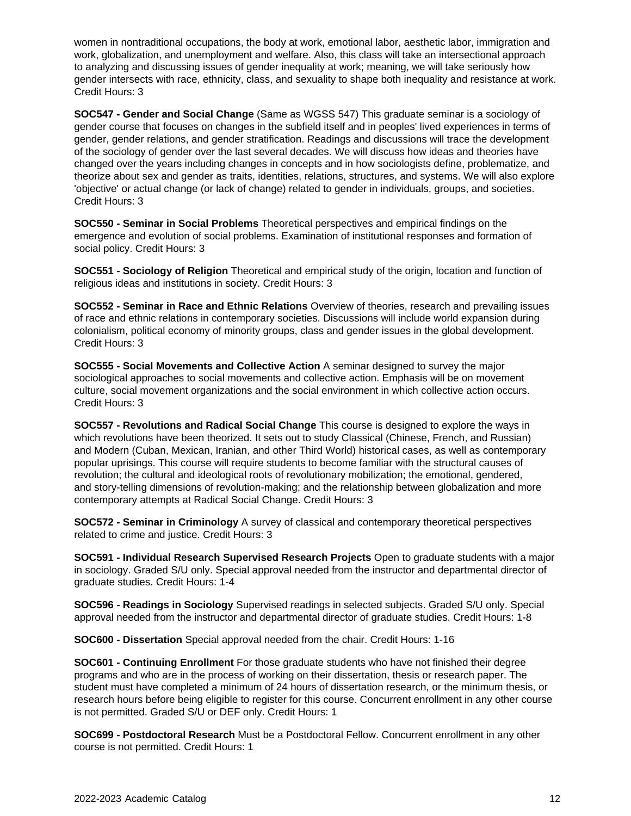women in nontraditional occupations, the body at work, emotional labor, aesthetic labor, immigration and work, globalization, and unemployment and welfare. Also, this class will take an intersectional approach to analyzing and discussing issues of gender inequality at work; meaning, we will take seriously how gender intersects with race, ethnicity, class, and sexuality to shape both inequality and resistance at work. Credit Hours: 3

**SOC547 - Gender and Social Change** (Same as WGSS 547) This graduate seminar is a sociology of gender course that focuses on changes in the subfield itself and in peoples' lived experiences in terms of gender, gender relations, and gender stratification. Readings and discussions will trace the development of the sociology of gender over the last several decades. We will discuss how ideas and theories have changed over the years including changes in concepts and in how sociologists define, problematize, and theorize about sex and gender as traits, identities, relations, structures, and systems. We will also explore 'objective' or actual change (or lack of change) related to gender in individuals, groups, and societies. Credit Hours: 3

**SOC550 - Seminar in Social Problems** Theoretical perspectives and empirical findings on the emergence and evolution of social problems. Examination of institutional responses and formation of social policy. Credit Hours: 3

**SOC551 - Sociology of Religion** Theoretical and empirical study of the origin, location and function of religious ideas and institutions in society. Credit Hours: 3

**SOC552 - Seminar in Race and Ethnic Relations** Overview of theories, research and prevailing issues of race and ethnic relations in contemporary societies. Discussions will include world expansion during colonialism, political economy of minority groups, class and gender issues in the global development. Credit Hours: 3

**SOC555 - Social Movements and Collective Action** A seminar designed to survey the major sociological approaches to social movements and collective action. Emphasis will be on movement culture, social movement organizations and the social environment in which collective action occurs. Credit Hours: 3

**SOC557 - Revolutions and Radical Social Change** This course is designed to explore the ways in which revolutions have been theorized. It sets out to study Classical (Chinese, French, and Russian) and Modern (Cuban, Mexican, Iranian, and other Third World) historical cases, as well as contemporary popular uprisings. This course will require students to become familiar with the structural causes of revolution; the cultural and ideological roots of revolutionary mobilization; the emotional, gendered, and story-telling dimensions of revolution-making; and the relationship between globalization and more contemporary attempts at Radical Social Change. Credit Hours: 3

**SOC572 - Seminar in Criminology** A survey of classical and contemporary theoretical perspectives related to crime and justice. Credit Hours: 3

**SOC591 - Individual Research Supervised Research Projects** Open to graduate students with a major in sociology. Graded S/U only. Special approval needed from the instructor and departmental director of graduate studies. Credit Hours: 1-4

**SOC596 - Readings in Sociology** Supervised readings in selected subjects. Graded S/U only. Special approval needed from the instructor and departmental director of graduate studies. Credit Hours: 1-8

**SOC600 - Dissertation** Special approval needed from the chair. Credit Hours: 1-16

**SOC601 - Continuing Enrollment** For those graduate students who have not finished their degree programs and who are in the process of working on their dissertation, thesis or research paper. The student must have completed a minimum of 24 hours of dissertation research, or the minimum thesis, or research hours before being eligible to register for this course. Concurrent enrollment in any other course is not permitted. Graded S/U or DEF only. Credit Hours: 1

**SOC699 - Postdoctoral Research** Must be a Postdoctoral Fellow. Concurrent enrollment in any other course is not permitted. Credit Hours: 1